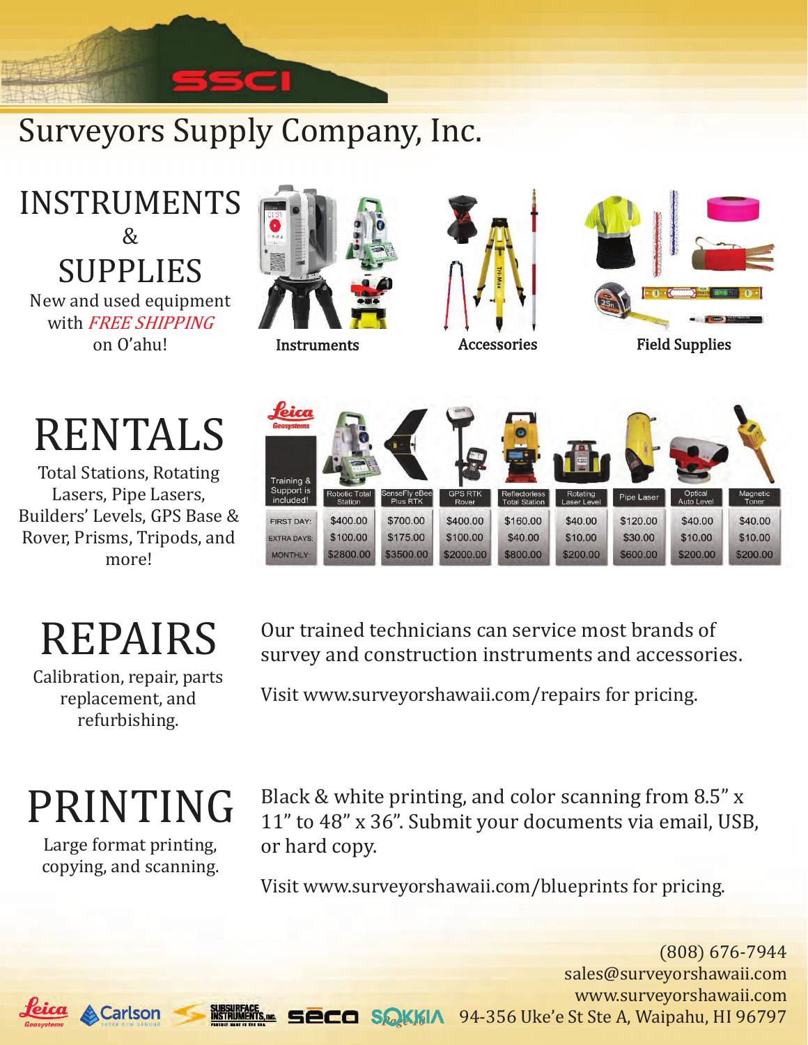## Surveyors Supply Company, Inc.

INSTRUMENTS  $\&$ SUPPLIES New and used equipment with FREE SHIPPING

# RENTALS

Total Stations, Rotating Lasers, Pipe Lasers, Builders' Levels, GPS Base & Rover, Prisms, Tripods, and more!

# REPAIRS

Calibration, repair, parts replacement, and refurbishing.

# PRINTING

Large format printing, copying, and scanning.









Our trained technicians can service most brands of survey and construction instruments and accessories.

Visit www.surveyorshawaii.com/repairs for pricing.

Black & white printing, and color scanning from 8.5" x 11" to 48" x 36". Submit your documents via email, USB, or hard copy.

Visit www.surveyorshawaii.com/blueprints for pricing.

**QKKIA** 94-356 Uke'e St Ste A, Waipahu, HI 96797 (808) 676-7944 sales@surveyorshawaii.com www.surveyorshawaii.com

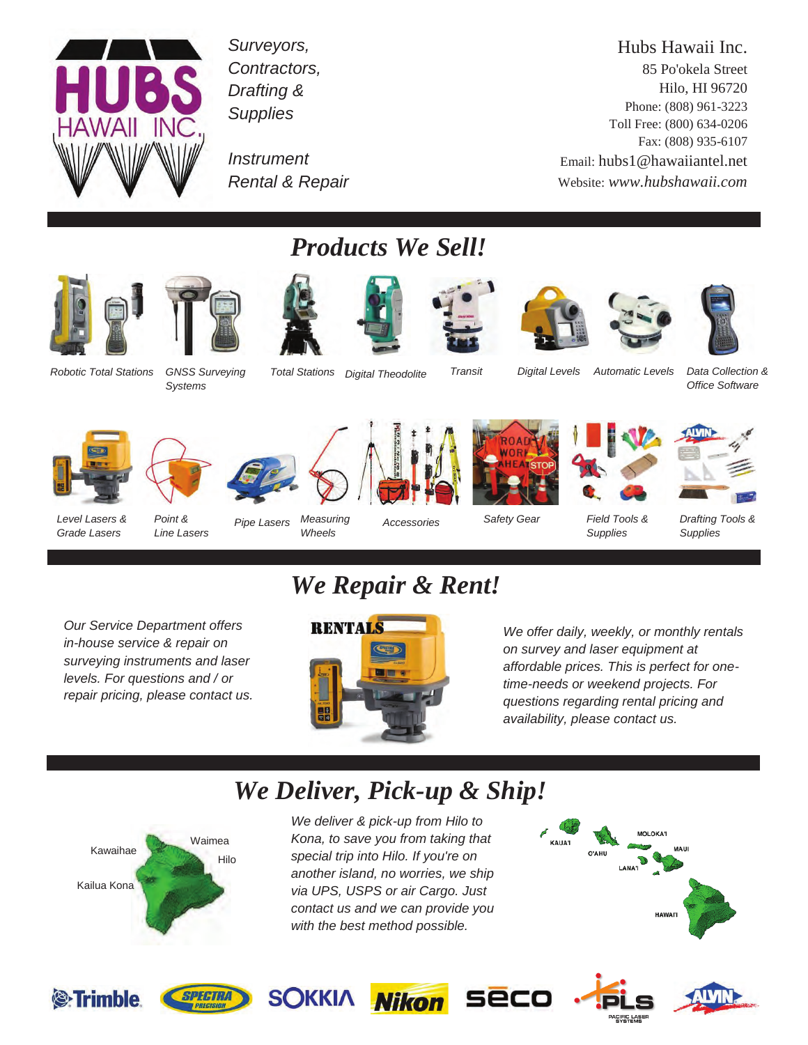

*Surveyors, Contractors, Drafting & Supplies* 

*Instrument Rental & Repair* 

Hubs Hawaii Inc. 85 Po'okela Street Hilo, HI 96720 Phone: (808) 961-3223 Toll Free: (800) 634-0206 Fax: (808) 935-6107 Email: hubs1@hawaiiantel.net Website: *www.hubshawaii.com*





*Systems* 



*Products We Sell!* 





*Digital Levels* 





*Total Stations Digital Theodolite Transit Automatic Levels Data Collection & Office Software* 











*Level Lasers & Grade Lasers* 

*Point & Line Lasers* 

*Pipe Lasers Measuring Wheels* 

*Accessories* 

*Safety Gear* 

*Field Tools & Supplies* 



*Our Service Department offers in-house service & repair on surveying instruments and laser levels. For questions and / or repair pricing, please contact us.* 

## *We Repair & Rent!*



*We offer daily, weekly, or monthly rentals on survey and laser equipment at affordable prices. This is perfect for onetime-needs or weekend projects. For questions regarding rental pricing and availability, please contact us.* 

### *We Deliver, Pick-up & Ship!*



*We deliver & pick-up from Hilo to Kona, to save you from taking that special trip into Hilo. If you're on another island, no worries, we ship via UPS, USPS or air Cargo. Just contact us and we can provide you with the best method possible.* 















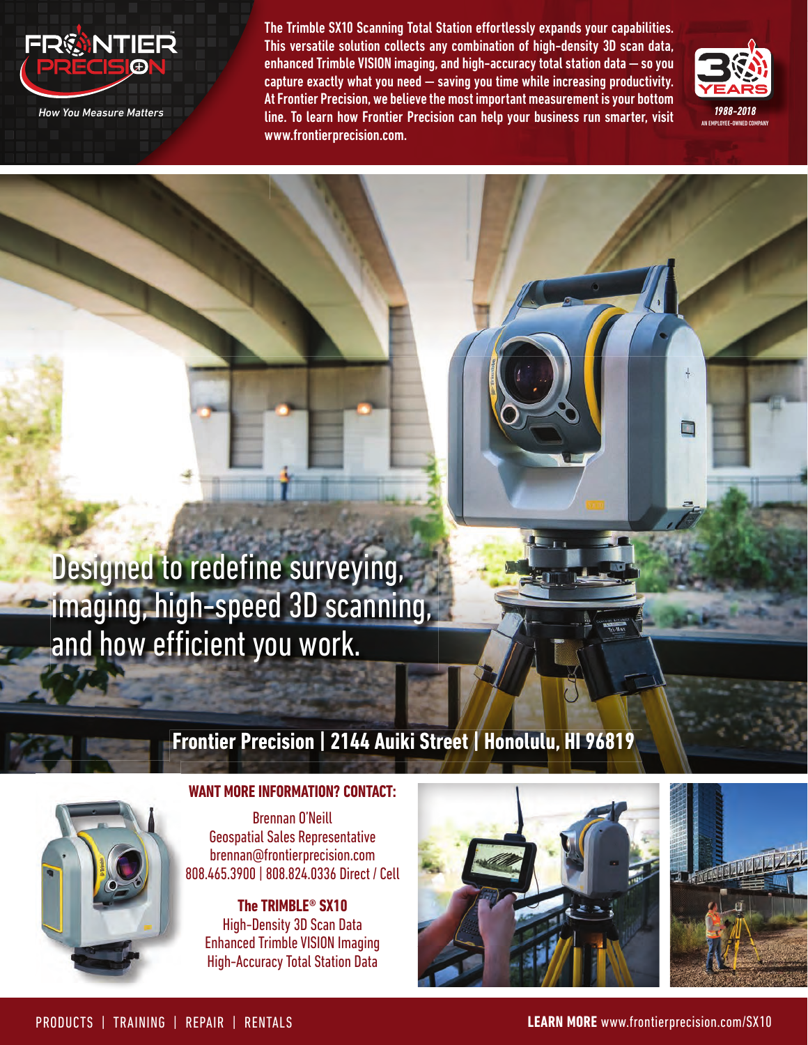

*How You Measure Matters*

The Trimble SX10 Scanning Total Station effortlessly expands your capabilities. This versatile solution collects any combination of high-density 3D scan data, enhanced Trimble VISION imaging, and high-accuracy total station data — so you capture exactly what you need — saving you time while increasing productivity. At Frontier Precision, we believe the most important measurement is your bottom line. To learn how Frontier Precision can help your business run smarter, visit www.frontierprecision.com.



È

## Designed to redefine surveying, imaging, high-speed 3D scanning, and how efficient you work.

### **Frontier Precision | 2144 Auiki Street | Honolulu, HI 96819**



#### **WANT MORE INFORMATION? CONTACT:**

Brennan O'Neill Geospatial Sales Representative brennan@frontierprecision.com 808.465.3900 | 808.824.0336 Direct / Cell

**The TRIMBLE® SX10** High-Density 3D Scan Data Enhanced Trimble VISION Imaging High-Accuracy Total Station Data